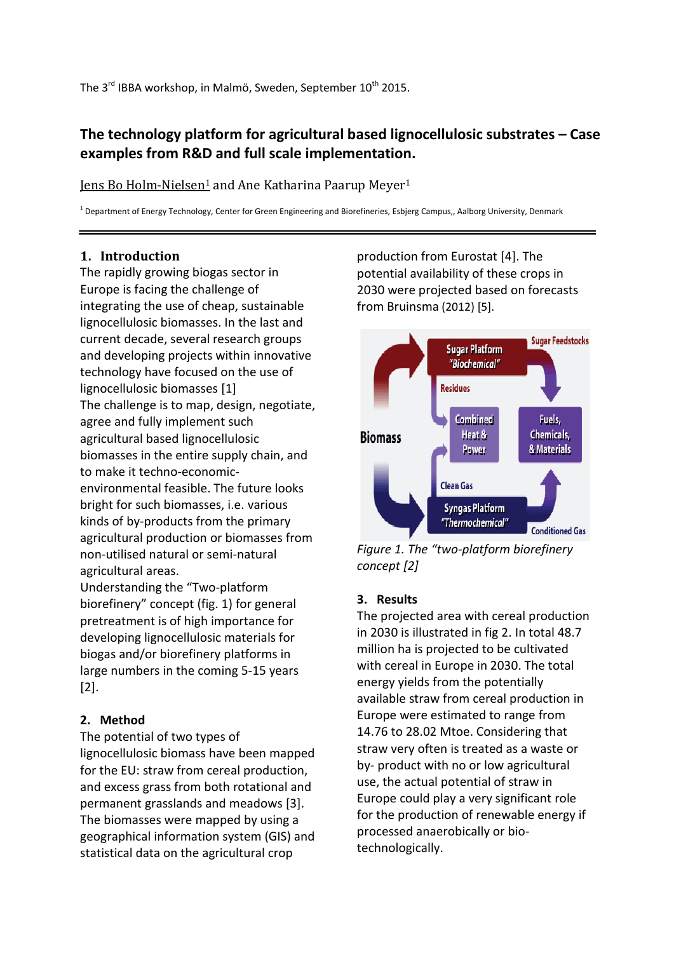# **The technology platform for agricultural based lignocellulosic substrates – Case examples from R&D and full scale implementation.**

Jens Bo Holm-Nielsen<sup>1</sup> and Ane Katharina Paarup Meyer<sup>1</sup>

<sup>1</sup> Department of Energy Technology, Center for Green Engineering and Biorefineries, Esbjerg Campus,, Aalborg University, Denmark

### **1. Introduction**

The rapidly growing biogas sector in Europe is facing the challenge of integrating the use of cheap, sustainable lignocellulosic biomasses. In the last and current decade, several research groups and developing projects within innovative technology have focused on the use of lignocellulosic biomasses [1] The challenge is to map, design, negotiate, agree and fully implement such agricultural based lignocellulosic biomasses in the entire supply chain, and to make it techno-economicenvironmental feasible. The future looks bright for such biomasses, i.e. various kinds of by-products from the primary agricultural production or biomasses from non-utilised natural or semi-natural agricultural areas.

Understanding the "Two-platform biorefinery" concept (fig. 1) for general pretreatment is of high importance for developing lignocellulosic materials for biogas and/or biorefinery platforms in large numbers in the coming 5-15 years [2].

## **2. Method**

The potential of two types of lignocellulosic biomass have been mapped for the EU: straw from cereal production, and excess grass from both rotational and permanent grasslands and meadows [3]. The biomasses were mapped by using a geographical information system (GIS) and statistical data on the agricultural crop

production from Eurostat [4]. The potential availability of these crops in 2030 were projected based on forecasts from Bruinsma (2012) [5].



*Figure 1. The "two-platform biorefinery concept [2]*

# **3. Results**

The projected area with cereal production in 2030 is illustrated in fig 2. In total 48.7 million ha is projected to be cultivated with cereal in Europe in 2030. The total energy yields from the potentially available straw from cereal production in Europe were estimated to range from 14.76 to 28.02 Mtoe. Considering that straw very often is treated as a waste or by- product with no or low agricultural use, the actual potential of straw in Europe could play a very significant role for the production of renewable energy if processed anaerobically or biotechnologically.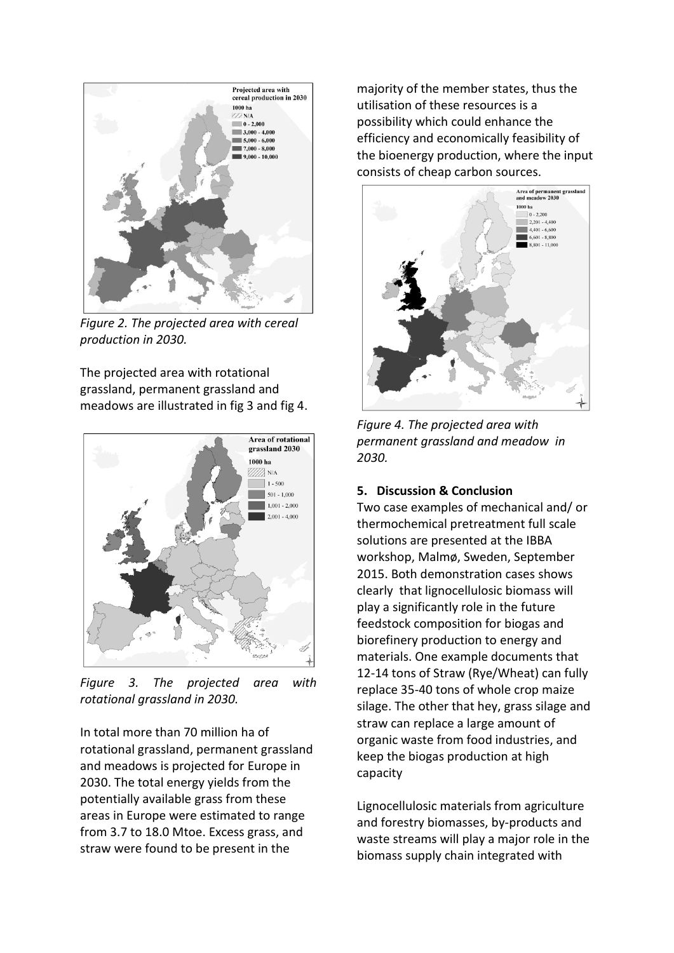

*Figure 2. The projected area with cereal production in 2030.*

The projected area with rotational grassland, permanent grassland and meadows are illustrated in fig 3 and fig 4.



*Figure 3. The projected area with rotational grassland in 2030.* 

In total more than 70 million ha of rotational grassland, permanent grassland and meadows is projected for Europe in 2030. The total energy yields from the potentially available grass from these areas in Europe were estimated to range from 3.7 to 18.0 Mtoe. Excess grass, and straw were found to be present in the

majority of the member states, thus the utilisation of these resources is a possibility which could enhance the efficiency and economically feasibility of the bioenergy production, where the input consists of cheap carbon sources.



*Figure 4. The projected area with permanent grassland and meadow in 2030.* 

### **5. Discussion & Conclusion**

Two case examples of mechanical and/ or thermochemical pretreatment full scale solutions are presented at the IBBA workshop, Malmø, Sweden, September 2015. Both demonstration cases shows clearly that lignocellulosic biomass will play a significantly role in the future feedstock composition for biogas and biorefinery production to energy and materials. One example documents that 12-14 tons of Straw (Rye/Wheat) can fully replace 35-40 tons of whole crop maize silage. The other that hey, grass silage and straw can replace a large amount of organic waste from food industries, and keep the biogas production at high capacity

Lignocellulosic materials from agriculture and forestry biomasses, by-products and waste streams will play a major role in the biomass supply chain integrated with